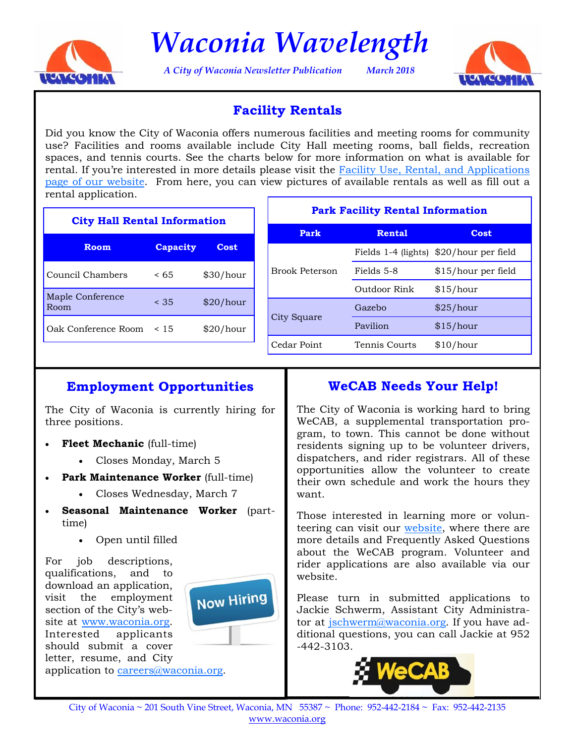

*Waconia Wavelength* 

*A City of Waconia Newsletter Publication March 2018* 



## **Facility Rentals**

Did you know the City of Waconia offers numerous facilities and meeting rooms for community use? Facilities and rooms available include City Hall meeting rooms, ball fields, recreation spaces, and tennis courts. See the charts below for more information on what is available for rental. If you're interested in more details please visit the Facility Use, Rental, and Applications [page of our website.](http://www.waconia.org/347/Facility-Use-Rental-Applications) From here, you can view pictures of available rentals as well as fill out a rental application.

| <b>City Hall Rental Information</b> |                 |             |  | <b>Park Facility Rental Information</b> |               |                                         |
|-------------------------------------|-----------------|-------------|--|-----------------------------------------|---------------|-----------------------------------------|
|                                     |                 |             |  | Park                                    | <b>Rental</b> | <b>Cost</b>                             |
| <b>Room</b>                         | <b>Capacity</b> | <b>Cost</b> |  | <b>Brook Peterson</b>                   |               | Fields 1-4 (lights) \$20/hour per field |
| Council Chambers                    | < 65            | \$30/hour   |  |                                         | Fields 5-8    | \$15/hour per field                     |
| Maple Conference                    |                 |             |  |                                         | Outdoor Rink  | \$15/hour                               |
| Room                                | < 35            | \$20/hour   |  | City Square                             | Gazebo        | \$25/hour                               |
| Oak Conference Room                 | < 15            | \$20/hour   |  |                                         | Pavilion      | \$15/hour                               |
|                                     |                 |             |  | Cedar Point                             | Tennis Courts | \$10/hour                               |

# **Employment Opportunities**

The City of Waconia is currently hiring for three positions.

- **Fleet Mechanic** (full-time)
	- Closes Monday, March 5
- Park Maintenance Worker (full-time)
	- Closes Wednesday, March 7
- **Seasonal Maintenance Worker** (parttime)
	- Open until filled

For job descriptions, qualifications, and to download an application, visit the employment section of the City's website a[t www.waconia.org.](http://www.waconia.org/jobs.aspx)  Interested applicants should submit a cover letter, resume, and City



## **WeCAB Needs Your Help!**

The City of Waconia is working hard to bring WeCAB, a supplemental transportation program, to town. This cannot be done without residents signing up to be volunteer drivers, dispatchers, and rider registrars. All of these opportunities allow the volunteer to create their own schedule and work the hours they want.

Those interested in learning more or volunteering can visit ou[r website, w](https://mn-waconia.civicplus.com/CivicAlerts.aspx?AID=129)here there are more details and Frequently Asked Questions about the WeCAB program. Volunteer and rider applications are also available via our website.

Please turn in submitted applications to Jackie Schwerm, Assistant City Administrator at jschwerm@waconia.org. If you have additional questions, you can call Jackie at 952 -442-3103.



**Now Hiring**